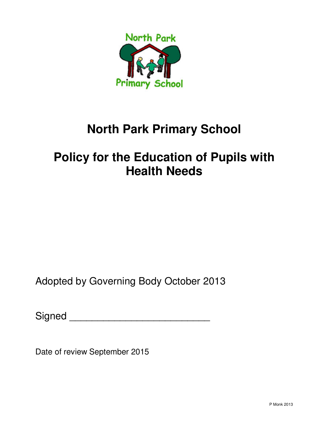

# **North Park Primary School**

# **Policy for the Education of Pupils with Health Needs**

Adopted by Governing Body October 2013

| Signed |  |
|--------|--|
|        |  |

Date of review September 2015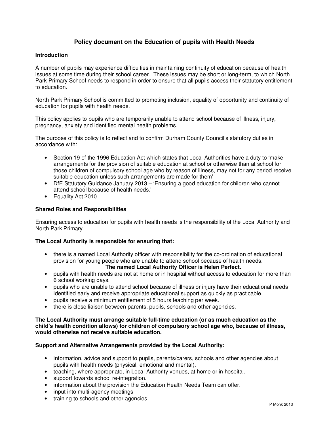# **Policy document on the Education of pupils with Health Needs**

## **Introduction**

A number of pupils may experience difficulties in maintaining continuity of education because of health issues at some time during their school career. These issues may be short or long-term, to which North Park Primary School needs to respond in order to ensure that all pupils access their statutory entitlement to education.

North Park Primary School is committed to promoting inclusion, equality of opportunity and continuity of education for pupils with health needs.

This policy applies to pupils who are temporarily unable to attend school because of illness, injury, pregnancy, anxiety and identified mental health problems.

The purpose of this policy is to reflect and to confirm Durham County Council's statutory duties in accordance with:

- Section 19 of the 1996 Education Act which states that Local Authorities have a duty to 'make arrangements for the provision of suitable education at school or otherwise than at school for those children of compulsory school age who by reason of illness, may not for any period receive suitable education unless such arrangements are made for them'
- DfE Statutory Guidance January 2013 'Ensuring a good education for children who cannot attend school because of health needs.'
- Equality Act 2010

## **Shared Roles and Responsibilities**

Ensuring access to education for pupils with health needs is the responsibility of the Local Authority and North Park Primary.

#### **The Local Authority is responsible for ensuring that:**

• there is a named Local Authority officer with responsibility for the co-ordination of educational provision for young people who are unable to attend school because of health needs.

#### **The named Local Authority Officer is Helen Perfect.**

- pupils with health needs are not at home or in hospital without access to education for more than 6 school working days.
- pupils who are unable to attend school because of illness or injury have their educational needs identified early and receive appropriate educational support as quickly as practicable.
- pupils receive a minimum entitlement of 5 hours teaching per week.
- there is close liaison between parents, pupils, schools and other agencies.

## **The Local Authority must arrange suitable full-time education (or as much education as the child's health condition allows) for children of compulsory school age who, because of illness, would otherwise not receive suitable education.**

#### **Support and Alternative Arrangements provided by the Local Authority:**

- information, advice and support to pupils, parents/carers, schools and other agencies about pupils with health needs (physical, emotional and mental).
- teaching, where appropriate, in Local Authority venues, at home or in hospital.
- support towards school re-integration.
- information about the provision the Education Health Needs Team can offer.
- input into multi-agency meetings
- training to schools and other agencies.